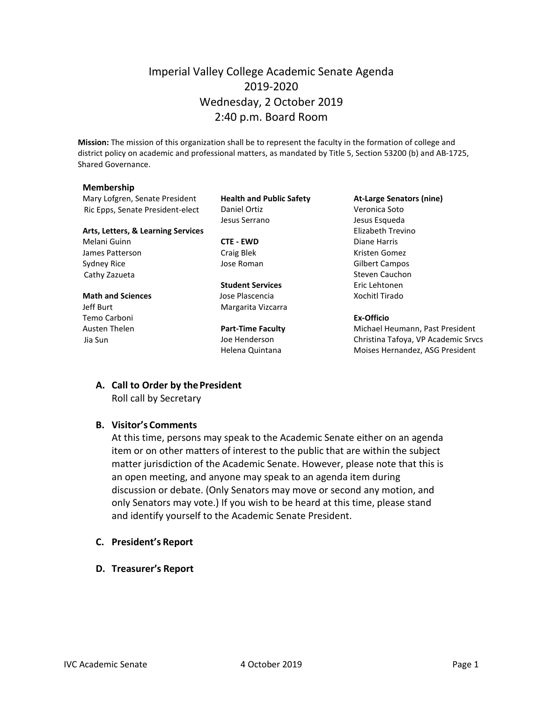# Imperial Valley College Academic Senate Agenda 2019-2020 Wednesday, 2 October 2019 2:40 p.m. Board Room

**Mission:** The mission of this organization shall be to represent the faculty in the formation of college and district policy on academic and professional matters, as mandated by Title 5, Section 53200 (b) and AB-1725, Shared Governance.

#### **Membership**

Mary Lofgren, Senate President **Health and Public Safety At-Large Senators (nine)** Ric Epps, Senate President-elect Daniel Ortiz Christian Muslim Veronica Soto

#### **Arts, Letters, & Learning Services** Elizabeth Trevino

Melani Guinn **CTE - EWD** Diane Harris James Patterson **Craig Blek** Craig Blek Kristen Gomez Sydney Rice **Symbol Sydney Rice** Jose Roman **Gilbert Campos** Gilbert Campos Cathy Zazueta **Steven Cauchon** Steven Cauchon

#### **Math and Sciences Contains Lower Plascencia Contains Accept Accept Accept Accept Accept Accept Accept Accept Accept Accept Accept Accept Accept Accept Accept Accept Accept Accept Accept Accept Accept Accept Accept Acc** Jeff Burt **Margarita Vizcarra**

Temo Carboni **Ex-Officio**

Jesus Serrano Jesus Esqueda

**Student Services** Eric Lehtonen

Austen Thelen **Part-Time Faculty** Michael Heumann, Past President Jia Sun Joe Henderson Christina Tafoya, VP Academic Srvcs Helena Quintana **Moises Hernandez**, ASG President

# **A. Call to Order by thePresident**

Roll call by Secretary

#### **B. Visitor's Comments**

At this time, persons may speak to the Academic Senate either on an agenda item or on other matters of interest to the public that are within the subject matter jurisdiction of the Academic Senate. However, please note that this is an open meeting, and anyone may speak to an agenda item during discussion or debate. (Only Senators may move or second any motion, and only Senators may vote.) If you wish to be heard at this time, please stand and identify yourself to the Academic Senate President.

- **C. President's Report**
- **D. Treasurer's Report**